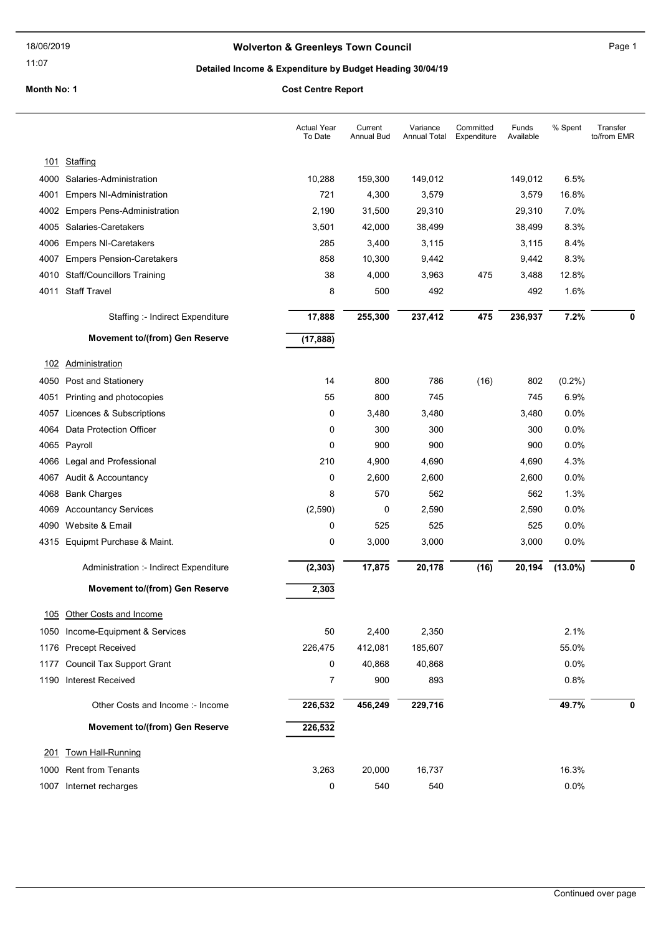# Wolverton & Greenleys Town Council Manual Page 1

11:07

# Detailed Income & Expenditure by Budget Heading 30/04/19

|      |                                        | <b>Actual Year</b><br>To Date | Current<br>Annual Bud | Variance<br>Annual Total | Committed<br>Expenditure | Funds<br>Available | % Spent    | Transfer<br>to/from EMR |
|------|----------------------------------------|-------------------------------|-----------------------|--------------------------|--------------------------|--------------------|------------|-------------------------|
|      | 101 Staffing                           |                               |                       |                          |                          |                    |            |                         |
|      | 4000 Salaries-Administration           | 10,288                        | 159,300               | 149,012                  |                          | 149,012            | 6.5%       |                         |
| 4001 | <b>Empers NI-Administration</b>        | 721                           | 4,300                 | 3,579                    |                          | 3,579              | 16.8%      |                         |
|      | 4002 Empers Pens-Administration        | 2,190                         | 31,500                | 29,310                   |                          | 29,310             | 7.0%       |                         |
| 4005 | Salaries-Caretakers                    | 3,501                         | 42,000                | 38,499                   |                          | 38,499             | 8.3%       |                         |
|      | 4006 Empers NI-Caretakers              | 285                           | 3,400                 | 3,115                    |                          | 3,115              | 8.4%       |                         |
| 4007 | <b>Empers Pension-Caretakers</b>       | 858                           | 10,300                | 9,442                    |                          | 9,442              | 8.3%       |                         |
|      | 4010 Staff/Councillors Training        | 38                            | 4,000                 | 3,963                    | 475                      | 3,488              | 12.8%      |                         |
|      | 4011 Staff Travel                      | 8                             | 500                   | 492                      |                          | 492                | 1.6%       |                         |
|      | Staffing :- Indirect Expenditure       | 17,888                        | 255,300               | 237,412                  | 475                      | 236,937            | 7.2%       | 0                       |
|      | <b>Movement to/(from) Gen Reserve</b>  | (17, 888)                     |                       |                          |                          |                    |            |                         |
| 102  | Administration                         |                               |                       |                          |                          |                    |            |                         |
| 4050 | Post and Stationery                    | 14                            | 800                   | 786                      | (16)                     | 802                | $(0.2\%)$  |                         |
| 4051 | Printing and photocopies               | 55                            | 800                   | 745                      |                          | 745                | 6.9%       |                         |
| 4057 | Licences & Subscriptions               | 0                             | 3,480                 | 3,480                    |                          | 3,480              | 0.0%       |                         |
| 4064 | Data Protection Officer                | 0                             | 300                   | 300                      |                          | 300                | 0.0%       |                         |
|      | 4065 Payroll                           | 0                             | 900                   | 900                      |                          | 900                | 0.0%       |                         |
| 4066 | Legal and Professional                 | 210                           | 4,900                 | 4,690                    |                          | 4,690              | 4.3%       |                         |
| 4067 | Audit & Accountancy                    | 0                             | 2,600                 | 2,600                    |                          | 2,600              | 0.0%       |                         |
| 4068 | <b>Bank Charges</b>                    | 8                             | 570                   | 562                      |                          | 562                | 1.3%       |                         |
| 4069 | <b>Accountancy Services</b>            | (2,590)                       | 0                     | 2,590                    |                          | 2,590              | 0.0%       |                         |
| 4090 | Website & Email                        | 0                             | 525                   | 525                      |                          | 525                | 0.0%       |                         |
|      | 4315 Equipmt Purchase & Maint.         | 0                             | 3,000                 | 3,000                    |                          | 3,000              | 0.0%       |                         |
|      | Administration :- Indirect Expenditure | (2, 303)                      | 17,875                | 20,178                   | (16)                     | 20,194             | $(13.0\%)$ | 0                       |
|      | Movement to/(from) Gen Reserve         | 2,303                         |                       |                          |                          |                    |            |                         |
| 105  | Other Costs and Income                 |                               |                       |                          |                          |                    |            |                         |
|      | 1050 Income-Equipment & Services       | 50                            | 2,400                 | 2,350                    |                          |                    | 2.1%       |                         |
|      | 1176 Precept Received                  | 226,475                       | 412,081               | 185,607                  |                          |                    | 55.0%      |                         |
|      | 1177 Council Tax Support Grant         | 0                             | 40,868                | 40,868                   |                          |                    | 0.0%       |                         |
|      | 1190 Interest Received                 | 7                             | 900                   | 893                      |                          |                    | 0.8%       |                         |
|      | Other Costs and Income :- Income       | 226,532                       | 456,249               | 229,716                  |                          |                    | 49.7%      | 0                       |
|      | <b>Movement to/(from) Gen Reserve</b>  | 226,532                       |                       |                          |                          |                    |            |                         |
| 201  | <b>Town Hall-Running</b>               |                               |                       |                          |                          |                    |            |                         |
|      | 1000 Rent from Tenants                 | 3,263                         | 20,000                | 16,737                   |                          |                    | 16.3%      |                         |
|      | 1007 Internet recharges                | 0                             | 540                   | 540                      |                          |                    | 0.0%       |                         |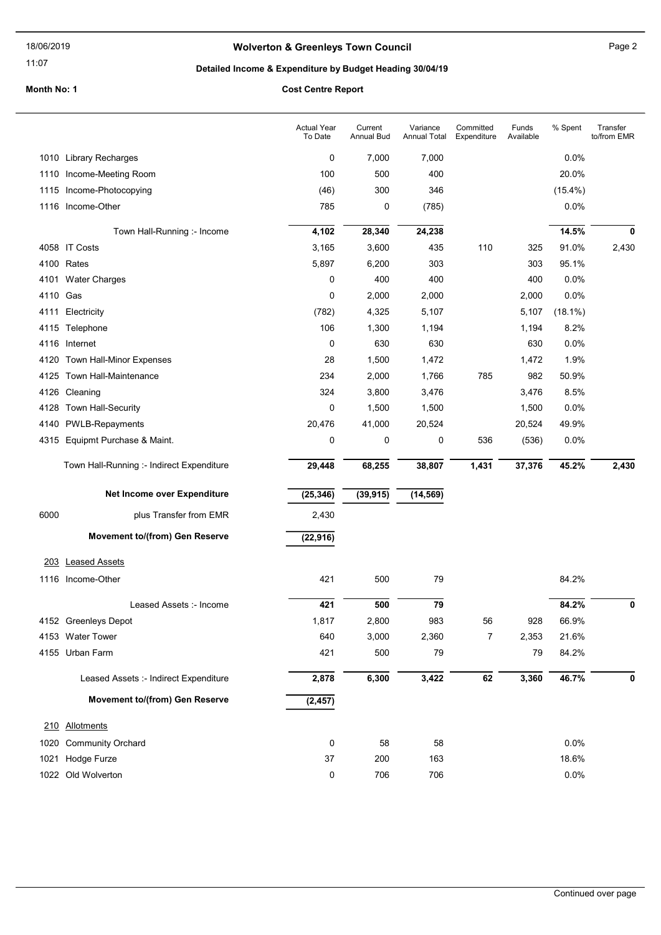#### 11:07

# Wolverton & Greenleys Town Council Manuscripture of Page 2

# Detailed Income & Expenditure by Budget Heading 30/04/19

|          |                                           | <b>Actual Year</b><br>To Date | Current<br>Annual Bud | Variance<br><b>Annual Total</b> | Committed<br>Expenditure | Funds<br>Available | % Spent    | Transfer<br>to/from EMR |
|----------|-------------------------------------------|-------------------------------|-----------------------|---------------------------------|--------------------------|--------------------|------------|-------------------------|
|          | 1010 Library Recharges                    | 0                             | 7,000                 | 7,000                           |                          |                    | 0.0%       |                         |
|          | 1110 Income-Meeting Room                  | 100                           | 500                   | 400                             |                          |                    | 20.0%      |                         |
|          | 1115 Income-Photocopying                  | (46)                          | 300                   | 346                             |                          |                    | $(15.4\%)$ |                         |
|          | 1116 Income-Other                         | 785                           | 0                     | (785)                           |                          |                    | 0.0%       |                         |
|          | Town Hall-Running :- Income               | 4,102                         | 28,340                | 24,238                          |                          |                    | 14.5%      | 0                       |
|          | 4058 IT Costs                             | 3,165                         | 3,600                 | 435                             | 110                      | 325                | 91.0%      | 2,430                   |
|          | 4100 Rates                                | 5,897                         | 6,200                 | 303                             |                          | 303                | 95.1%      |                         |
|          | 4101 Water Charges                        | 0                             | 400                   | 400                             |                          | 400                | 0.0%       |                         |
| 4110 Gas |                                           | 0                             | 2,000                 | 2,000                           |                          | 2,000              | 0.0%       |                         |
| 4111     | Electricity                               | (782)                         | 4,325                 | 5,107                           |                          | 5,107              | $(18.1\%)$ |                         |
|          | 4115 Telephone                            | 106                           | 1,300                 | 1,194                           |                          | 1,194              | 8.2%       |                         |
|          | 4116 Internet                             | 0                             | 630                   | 630                             |                          | 630                | 0.0%       |                         |
| 4120     | Town Hall-Minor Expenses                  | 28                            | 1,500                 | 1,472                           |                          | 1,472              | 1.9%       |                         |
| 4125     | Town Hall-Maintenance                     | 234                           | 2,000                 | 1,766                           | 785                      | 982                | 50.9%      |                         |
| 4126     | Cleaning                                  | 324                           | 3,800                 | 3,476                           |                          | 3,476              | 8.5%       |                         |
| 4128     | Town Hall-Security                        | 0                             | 1,500                 | 1,500                           |                          | 1,500              | 0.0%       |                         |
| 4140     | PWLB-Repayments                           | 20,476                        | 41,000                | 20,524                          |                          | 20,524             | 49.9%      |                         |
| 4315     | Equipmt Purchase & Maint.                 | 0                             | 0                     | 0                               | 536                      | (536)              | 0.0%       |                         |
|          | Town Hall-Running :- Indirect Expenditure | 29,448                        | 68,255                | 38,807                          | 1,431                    | 37,376             | 45.2%      | 2,430                   |
|          | Net Income over Expenditure               | (25, 346)                     | (39, 915)             | (14, 569)                       |                          |                    |            |                         |
| 6000     | plus Transfer from EMR                    | 2,430                         |                       |                                 |                          |                    |            |                         |
|          | Movement to/(from) Gen Reserve            | (22, 916)                     |                       |                                 |                          |                    |            |                         |
| 203      | <b>Leased Assets</b>                      |                               |                       |                                 |                          |                    |            |                         |
|          | 1116 Income-Other                         | 421                           | 500                   | 79                              |                          |                    | 84.2%      |                         |
|          | Leased Assets :- Income                   | 421                           | 500                   | 79                              |                          |                    | 84.2%      | 0                       |
|          | 4152 Greenleys Depot                      | 1,817                         | 2,800                 | 983                             | 56                       | 928                | 66.9%      |                         |
|          | 4153 Water Tower                          | 640                           | 3,000                 | 2,360                           | $\overline{7}$           | 2,353              | 21.6%      |                         |
|          | 4155 Urban Farm                           | 421                           | 500                   | 79                              |                          | 79                 | 84.2%      |                         |
|          | Leased Assets :- Indirect Expenditure     | 2,878                         | 6,300                 | 3,422                           | 62                       | 3,360              | 46.7%      | 0                       |
|          | <b>Movement to/(from) Gen Reserve</b>     | (2, 457)                      |                       |                                 |                          |                    |            |                         |
|          | 210 Allotments                            |                               |                       |                                 |                          |                    |            |                         |
|          | 1020 Community Orchard                    | 0                             | 58                    | 58                              |                          |                    | 0.0%       |                         |
|          | 1021 Hodge Furze                          | 37                            | 200                   | 163                             |                          |                    | 18.6%      |                         |
|          | 1022 Old Wolverton                        | 0                             | 706                   | 706                             |                          |                    | 0.0%       |                         |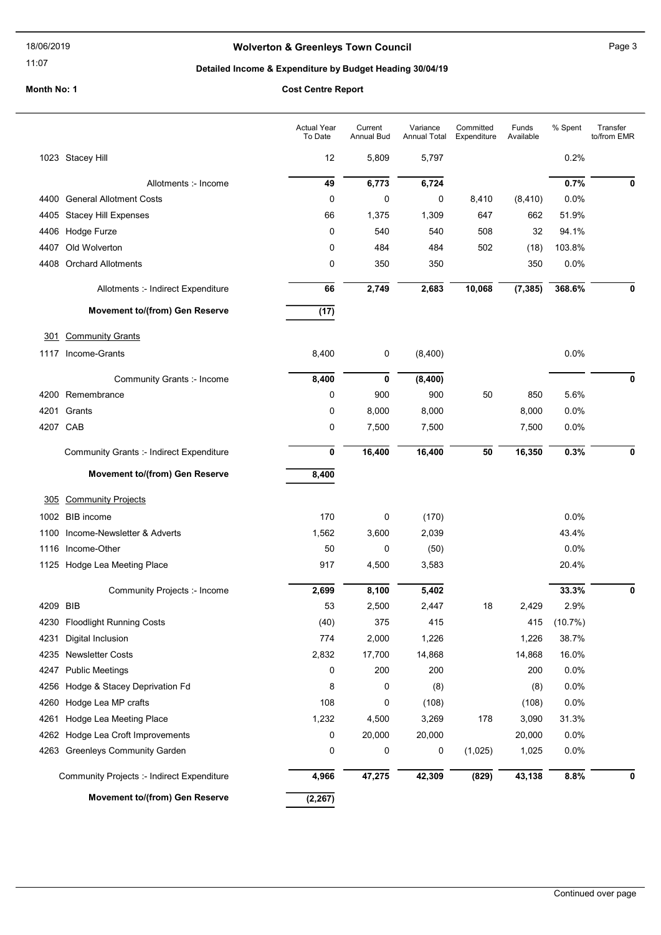### 11:07

# Wolverton & Greenleys Town Council Manuscripture of Page 3

# Detailed Income & Expenditure by Budget Heading 30/04/19

|          |                                                 | <b>Actual Year</b><br>To Date | Current<br><b>Annual Bud</b> | Variance<br><b>Annual Total</b> | Committed<br>Expenditure | Funds<br>Available | % Spent | Transfer<br>to/from EMR |
|----------|-------------------------------------------------|-------------------------------|------------------------------|---------------------------------|--------------------------|--------------------|---------|-------------------------|
|          | 1023 Stacey Hill                                | 12                            | 5,809                        | 5,797                           |                          |                    | 0.2%    |                         |
|          | Allotments :- Income                            | 49                            | 6,773                        | 6,724                           |                          |                    | 0.7%    | 0                       |
|          | 4400 General Allotment Costs                    | 0                             | 0                            | 0                               | 8,410                    | (8, 410)           | 0.0%    |                         |
| 4405     | <b>Stacey Hill Expenses</b>                     | 66                            | 1,375                        | 1,309                           | 647                      | 662                | 51.9%   |                         |
| 4406     | Hodge Furze                                     | 0                             | 540                          | 540                             | 508                      | 32                 | 94.1%   |                         |
| 4407     | Old Wolverton                                   | 0                             | 484                          | 484                             | 502                      | (18)               | 103.8%  |                         |
| 4408     | <b>Orchard Allotments</b>                       | 0                             | 350                          | 350                             |                          | 350                | 0.0%    |                         |
|          | Allotments :- Indirect Expenditure              | 66                            | 2,749                        | 2,683                           | 10,068                   | (7, 385)           | 368.6%  | 0                       |
|          | Movement to/(from) Gen Reserve                  | (17)                          |                              |                                 |                          |                    |         |                         |
| 301      | <b>Community Grants</b>                         |                               |                              |                                 |                          |                    |         |                         |
|          | 1117 Income-Grants                              | 8,400                         | 0                            | (8,400)                         |                          |                    | 0.0%    |                         |
|          | Community Grants :- Income                      | 8,400                         | 0                            | (8,400)                         |                          |                    |         | 0                       |
|          | 4200 Remembrance                                | 0                             | 900                          | 900                             | 50                       | 850                | 5.6%    |                         |
| 4201     | Grants                                          | 0                             | 8,000                        | 8,000                           |                          | 8,000              | 0.0%    |                         |
|          | 4207 CAB                                        | 0                             | 7,500                        | 7,500                           |                          | 7,500              | 0.0%    |                         |
|          | <b>Community Grants :- Indirect Expenditure</b> | 0                             | 16,400                       | 16,400                          | 50                       | 16,350             | 0.3%    | 0                       |
|          | Movement to/(from) Gen Reserve                  | 8,400                         |                              |                                 |                          |                    |         |                         |
| 305      | <b>Community Projects</b>                       |                               |                              |                                 |                          |                    |         |                         |
|          | 1002 BIB income                                 | 170                           | 0                            | (170)                           |                          |                    | 0.0%    |                         |
| 1100     | Income-Newsletter & Adverts                     | 1,562                         | 3,600                        | 2,039                           |                          |                    | 43.4%   |                         |
|          | 1116 Income-Other                               | 50                            | 0                            | (50)                            |                          |                    | 0.0%    |                         |
|          | 1125 Hodge Lea Meeting Place                    | 917                           | 4,500                        | 3,583                           |                          |                    | 20.4%   |                         |
|          | Community Projects :- Income                    | 2,699                         | 8,100                        | 5,402                           |                          |                    | 33.3%   | 0                       |
| 4209 BIB |                                                 | 53                            | 2,500                        | 2,447                           | 18                       | 2,429              | 2.9%    |                         |
| 4230     | <b>Floodlight Running Costs</b>                 | (40)                          | 375                          | 415                             |                          | 415                | (10.7%) |                         |
| 4231     | Digital Inclusion                               | 774                           | 2,000                        | 1,226                           |                          | 1,226              | 38.7%   |                         |
| 4235     | <b>Newsletter Costs</b>                         | 2,832                         | 17,700                       | 14,868                          |                          | 14,868             | 16.0%   |                         |
| 4247     | <b>Public Meetings</b>                          | 0                             | 200                          | 200                             |                          | 200                | 0.0%    |                         |
| 4256     | Hodge & Stacey Deprivation Fd                   | 8                             | 0                            | (8)                             |                          | (8)                | 0.0%    |                         |
| 4260     | Hodge Lea MP crafts                             | 108                           | 0                            | (108)                           |                          | (108)              | 0.0%    |                         |
| 4261     | Hodge Lea Meeting Place                         | 1,232                         | 4,500                        | 3,269                           | 178                      | 3,090              | 31.3%   |                         |
| 4262     | Hodge Lea Croft Improvements                    | 0                             | 20,000                       | 20,000                          |                          | 20,000             | 0.0%    |                         |
| 4263     | <b>Greenleys Community Garden</b>               | 0                             | 0                            | 0                               | (1,025)                  | 1,025              | 0.0%    |                         |
|          | Community Projects :- Indirect Expenditure      | 4,966                         | 47,275                       | 42,309                          | (829)                    | 43,138             | 8.8%    | 0                       |
|          | Movement to/(from) Gen Reserve                  | (2, 267)                      |                              |                                 |                          |                    |         |                         |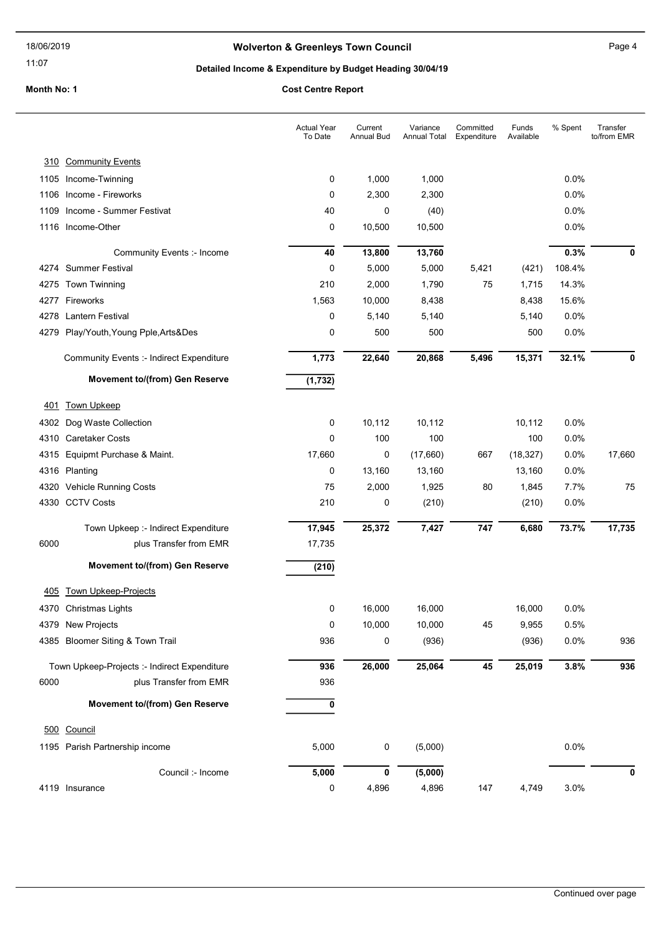#### 11:07

# Wolverton & Greenleys Town Council Manuscripture of Page 4

# Detailed Income & Expenditure by Budget Heading 30/04/19

|      |                                                 | <b>Actual Year</b><br>To Date | Current<br><b>Annual Bud</b> | Variance<br>Annual Total | Committed<br>Expenditure | Funds<br>Available | % Spent | Transfer<br>to/from EMR |
|------|-------------------------------------------------|-------------------------------|------------------------------|--------------------------|--------------------------|--------------------|---------|-------------------------|
| 310  | <b>Community Events</b>                         |                               |                              |                          |                          |                    |         |                         |
|      | 1105 Income-Twinning                            | 0                             | 1,000                        | 1,000                    |                          |                    | 0.0%    |                         |
|      | 1106 Income - Fireworks                         | 0                             | 2,300                        | 2,300                    |                          |                    | 0.0%    |                         |
| 1109 | Income - Summer Festivat                        | 40                            | 0                            | (40)                     |                          |                    | 0.0%    |                         |
|      | 1116 Income-Other                               | 0                             | 10,500                       | 10,500                   |                          |                    | 0.0%    |                         |
|      | Community Events :- Income                      | 40                            | 13,800                       | 13,760                   |                          |                    | 0.3%    | 0                       |
|      | 4274 Summer Festival                            | 0                             | 5,000                        | 5,000                    | 5,421                    | (421)              | 108.4%  |                         |
|      | 4275 Town Twinning                              | 210                           | 2,000                        | 1,790                    | 75                       | 1,715              | 14.3%   |                         |
|      | 4277 Fireworks                                  | 1,563                         | 10,000                       | 8,438                    |                          | 8,438              | 15.6%   |                         |
|      | 4278 Lantern Festival                           | 0                             | 5,140                        | 5,140                    |                          | 5,140              | 0.0%    |                         |
|      | 4279 Play/Youth, Young Pple, Arts&Des           | 0                             | 500                          | 500                      |                          | 500                | 0.0%    |                         |
|      | <b>Community Events :- Indirect Expenditure</b> | 1,773                         | 22,640                       | 20,868                   | 5,496                    | 15,371             | 32.1%   | 0                       |
|      | Movement to/(from) Gen Reserve                  | (1, 732)                      |                              |                          |                          |                    |         |                         |
| 401  | <b>Town Upkeep</b>                              |                               |                              |                          |                          |                    |         |                         |
|      | 4302 Dog Waste Collection                       | 0                             | 10,112                       | 10,112                   |                          | 10,112             | 0.0%    |                         |
| 4310 | <b>Caretaker Costs</b>                          | 0                             | 100                          | 100                      |                          | 100                | 0.0%    |                         |
|      | 4315 Equipmt Purchase & Maint.                  | 17,660                        | 0                            | (17,660)                 | 667                      | (18, 327)          | 0.0%    | 17,660                  |
|      | 4316 Planting                                   | 0                             | 13,160                       | 13,160                   |                          | 13,160             | 0.0%    |                         |
| 4320 | <b>Vehicle Running Costs</b>                    | 75                            | 2,000                        | 1,925                    | 80                       | 1,845              | 7.7%    | 75                      |
|      | 4330 CCTV Costs                                 | 210                           | 0                            | (210)                    |                          | (210)              | 0.0%    |                         |
|      | Town Upkeep :- Indirect Expenditure             | 17,945                        | 25,372                       | 7,427                    | 747                      | 6,680              | 73.7%   | 17,735                  |
| 6000 | plus Transfer from EMR                          | 17,735                        |                              |                          |                          |                    |         |                         |
|      | Movement to/(from) Gen Reserve                  | (210)                         |                              |                          |                          |                    |         |                         |
| 405  | <b>Town Upkeep-Projects</b>                     |                               |                              |                          |                          |                    |         |                         |
|      | 4370 Christmas Lights                           | 0                             | 16,000                       | 16,000                   |                          | 16,000             | 0.0%    |                         |
|      | 4379 New Projects                               | $\pmb{0}$                     | 10,000                       | 10,000                   | 45                       | 9,955              | 0.5%    |                         |
|      | 4385 Bloomer Siting & Town Trail                | 936                           | 0                            | (936)                    |                          | (936)              | 0.0%    | 936                     |
|      | Town Upkeep-Projects :- Indirect Expenditure    | 936                           | 26,000                       | 25,064                   | 45                       | 25,019             | 3.8%    | 936                     |
| 6000 | plus Transfer from EMR                          | 936                           |                              |                          |                          |                    |         |                         |
|      | Movement to/(from) Gen Reserve                  | 0                             |                              |                          |                          |                    |         |                         |
|      | 500 Council                                     |                               |                              |                          |                          |                    |         |                         |
|      | 1195 Parish Partnership income                  | 5,000                         | $\pmb{0}$                    | (5,000)                  |                          |                    | 0.0%    |                         |
|      | Council :- Income                               | 5,000                         | $\pmb{0}$                    | (5,000)                  |                          |                    |         | 0                       |
|      | 4119 Insurance                                  | 0                             | 4,896                        | 4,896                    | 147                      | 4,749              | 3.0%    |                         |